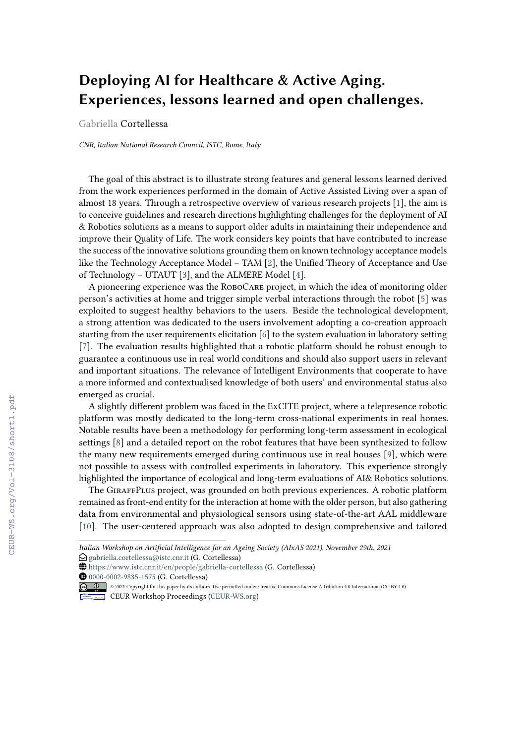## **Deploying AI for Healthcare & Active Aging. Experiences, lessons learned and open challenges.**

Gabriella Cortellessa

*CNR, Italian National Research Council, ISTC, Rome, Italy*

The goal of this abstract is to illustrate strong features and general lessons learned derived from the work experiences performed in the domain of Active Assisted Living over a span of almost 18 years. Through a retrospective overview of various research projects [\[1\]](#page--1-0), the aim is to conceive guidelines and research directions highlighting challenges for the deployment of AI & Robotics solutions as a means to support older adults in maintaining their independence and improve their Quality of Life. The work considers key points that have contributed to increase the success of the innovative solutions grounding them on known technology acceptance models like the Technology Acceptance Model – TAM [\[2\]](#page--1-1), the Unified Theory of Acceptance and Use of Technology – UTAUT [\[3\]](#page--1-2), and the ALMERE Model [\[4\]](#page--1-3).

A pioneering experience was the RoboCare project, in which the idea of monitoring older person's activities at home and trigger simple verbal interactions through the robot [\[5\]](#page--1-4) was exploited to suggest healthy behaviors to the users. Beside the technological development, a strong attention was dedicated to the users involvement adopting a co-creation approach starting from the user requirements elicitation [\[6\]](#page--1-5) to the system evaluation in laboratory setting [\[7\]](#page--1-6). The evaluation results highlighted that a robotic platform should be robust enough to guarantee a continuous use in real world conditions and should also support users in relevant and important situations. The relevance of Intelligent Environments that cooperate to have a more informed and contextualised knowledge of both users' and environmental status also emerged as crucial.

A slightly different problem was faced in the ExCITE project, where a telepresence robotic platform was mostly dedicated to the long-term cross-national experiments in real homes. Notable results have been a methodology for performing long-term assessment in ecological settings [\[8\]](#page--1-7) and a detailed report on the robot features that have been synthesized to follow the many new requirements emerged during continuous use in real houses [\[9\]](#page--1-8), which were not possible to assess with controlled experiments in laboratory. This experience strongly highlighted the importance of ecological and long-term evaluations of AI& Robotics solutions.

The GiraffPlus project, was grounded on both previous experiences. A robotic platform remained as front-end entity for the interaction at home with the older person, but also gathering data from environmental and physiological sensors using state-of-the-art AAL middleware [\[10\]](#page--1-9). The user-centered approach was also adopted to design comprehensive and tailored

*Italian Workshop on Artificial Intelligence for an Ageing Society (AIxAS 2021), November 29th, 2021*

 $\bigcirc$  [gabriella.cortellessa@istc.cnr.it](mailto:gabriella.cortellessa@istc.cnr.it) (G. Cortellessa)

GLOBE <https://www.istc.cnr.it/en/people/gabriella-cortellessa> (G. Cortellessa)

**O** [0000-0002-9835-1575](https://orcid.org/0000-0002-9835-1575) (G. Cortellessa)

<sup>© 2021</sup> Copyright for this paper by its authors. Use permitted under Creative Commons License Attribution 4.0 International (CC BY 4.0).

CEUR Workshop [Proceedings](http://ceur-ws.org) [\(CEUR-WS.org\)](http://ceur-ws.org)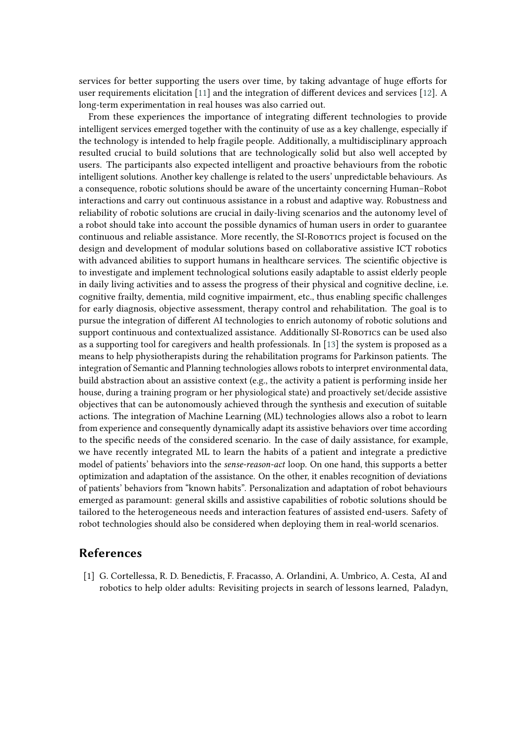services for better supporting the users over time, by taking advantage of huge efforts for user requirements elicitation [\[11\]](#page-2-0) and the integration of different devices and services [\[12\]](#page-2-1). A long-term experimentation in real houses was also carried out.

From these experiences the importance of integrating different technologies to provide intelligent services emerged together with the continuity of use as a key challenge, especially if the technology is intended to help fragile people. Additionally, a multidisciplinary approach resulted crucial to build solutions that are technologically solid but also well accepted by users. The participants also expected intelligent and proactive behaviours from the robotic intelligent solutions. Another key challenge is related to the users' unpredictable behaviours. As a consequence, robotic solutions should be aware of the uncertainty concerning Human–Robot interactions and carry out continuous assistance in a robust and adaptive way. Robustness and reliability of robotic solutions are crucial in daily-living scenarios and the autonomy level of a robot should take into account the possible dynamics of human users in order to guarantee continuous and reliable assistance. More recently, the SI-ROBOTICS project is focused on the design and development of modular solutions based on collaborative assistive ICT robotics with advanced abilities to support humans in healthcare services. The scientific objective is to investigate and implement technological solutions easily adaptable to assist elderly people in daily living activities and to assess the progress of their physical and cognitive decline, i.e. cognitive frailty, dementia, mild cognitive impairment, etc., thus enabling specific challenges for early diagnosis, objective assessment, therapy control and rehabilitation. The goal is to pursue the integration of different AI technologies to enrich autonomy of robotic solutions and support continuous and contextualized assistance. Additionally SI-ROBOTICS can be used also as a supporting tool for caregivers and health professionals. In [\[13\]](#page-2-2) the system is proposed as a means to help physiotherapists during the rehabilitation programs for Parkinson patients. The integration of Semantic and Planning technologies allows robots to interpret environmental data, build abstraction about an assistive context (e.g., the activity a patient is performing inside her house, during a training program or her physiological state) and proactively set/decide assistive objectives that can be autonomously achieved through the synthesis and execution of suitable actions. The integration of Machine Learning (ML) technologies allows also a robot to learn from experience and consequently dynamically adapt its assistive behaviors over time according to the specific needs of the considered scenario. In the case of daily assistance, for example, we have recently integrated ML to learn the habits of a patient and integrate a predictive model of patients' behaviors into the *sense-reason-act* loop. On one hand, this supports a better optimization and adaptation of the assistance. On the other, it enables recognition of deviations of patients' behaviors from "known habits". Personalization and adaptation of robot behaviours emerged as paramount: general skills and assistive capabilities of robotic solutions should be tailored to the heterogeneous needs and interaction features of assisted end-users. Safety of robot technologies should also be considered when deploying them in real-world scenarios.

## **References**

[1] G. Cortellessa, R. D. Benedictis, F. Fracasso, A. Orlandini, A. Umbrico, A. Cesta, AI and robotics to help older adults: Revisiting projects in search of lessons learned, Paladyn,